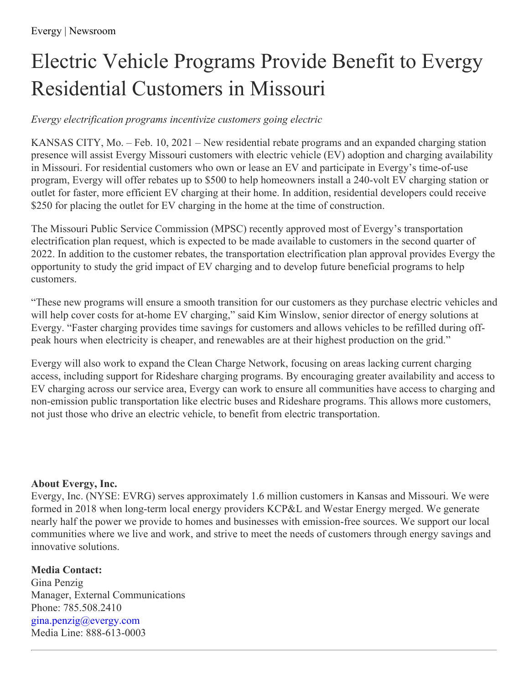## Electric Vehicle Programs Provide Benefit to Evergy Residential Customers in Missouri

## *Evergy electrification programs incentivize customers going electric*

KANSAS CITY, Mo. – Feb. 10, 2021 – New residential rebate programs and an expanded charging station presence will assist Evergy Missouri customers with electric vehicle (EV) adoption and charging availability in Missouri. For residential customers who own or lease an EV and participate in Evergy's time-of-use program, Evergy will offer rebates up to \$500 to help homeowners install a 240-volt EV charging station or outlet for faster, more efficient EV charging at their home. In addition, residential developers could receive \$250 for placing the outlet for EV charging in the home at the time of construction.

The Missouri Public Service Commission (MPSC) recently approved most of Evergy's transportation electrification plan request, which is expected to be made available to customers in the second quarter of 2022. In addition to the customer rebates, the transportation electrification plan approval provides Evergy the opportunity to study the grid impact of EV charging and to develop future beneficial programs to help customers.

"These new programs will ensure a smooth transition for our customers as they purchase electric vehicles and will help cover costs for at-home EV charging," said Kim Winslow, senior director of energy solutions at Evergy. "Faster charging provides time savings for customers and allows vehicles to be refilled during offpeak hours when electricity is cheaper, and renewables are at their highest production on the grid."

Evergy will also work to expand the Clean Charge Network, focusing on areas lacking current charging access, including support for Rideshare charging programs. By encouraging greater availability and access to EV charging across our service area, Evergy can work to ensure all communities have access to charging and non-emission public transportation like electric buses and Rideshare programs. This allows more customers, not just those who drive an electric vehicle, to benefit from electric transportation.

## **About Evergy, Inc.**

Evergy, Inc. (NYSE: EVRG) serves approximately 1.6 million customers in Kansas and Missouri. We were formed in 2018 when long-term local energy providers KCP&L and Westar Energy merged. We generate nearly half the power we provide to homes and businesses with emission-free sources. We support our local communities where we live and work, and strive to meet the needs of customers through energy savings and innovative solutions.

## **Media Contact:**

Gina Penzig Manager, External Communications Phone: 785.508.2410 [gina.penzig@evergy.com](mailto:gina.penzig@evergy.com) Media Line: 888-613-0003